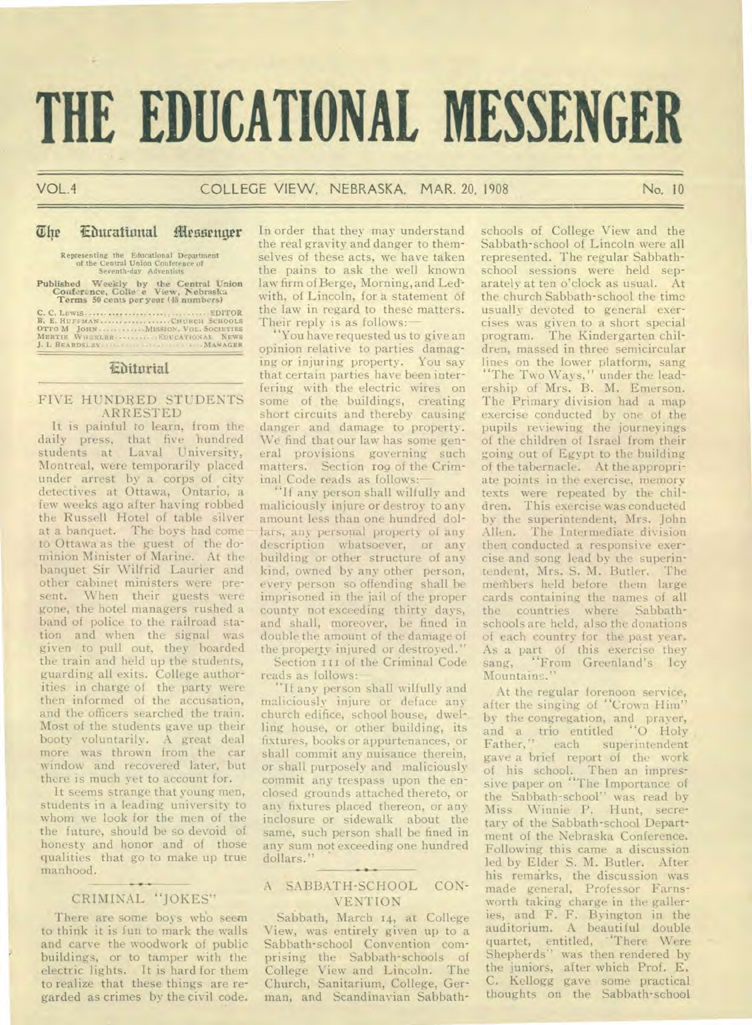# **THE EDUCATIONAL MESSENGER**

# VOL.4 COLLEGE VIEW, NEBRASKA, MAR. 20, 1908 **No. 10**

### The Educational Messenger

Representing the Educational Department of the Central Union Conference of Seventh-day Adventists

**Published Weekly by the Central Union Conference, Colle-e View, Nebraska Terms 50 cents per year (48 numbers)** 

C. C. LEWIS AND CHURCH SCHOOLS **CHURCH SCHOOLS**<br> **B. E. HUFFMAN CHURCH SCHOOLS CHURCH SCHOOLS**<br> **MERTIE WHEELER WHEELER VOL. SOCIETIES**<br> **J. 1. BEARDSLEY**<br> **J. 1. BEARDSLEY** EDITOR

### **Editorial**

### FIVE HUNDRED STUDENTS ARRESTED

It is painful to learn, from the daily press, that five 'hundred students at Laval University, Montreal, were temporarily placed under arrest by a corps of city detectives at Ottawa, Ontario, a few weeks ago after having robbed the Russell Hotel of table silver at a banquet. The boys had come to Ottawa as the guest of the dominion Minister of Marine. At the banquet Sir Wilfrid Laurier and other cabinet ministers were pre-<br>sent. When their guests were When their guests were gone, the hotel managers rushed a band of police to the railroad station and when the signal was given to pull out, they boarded the train and held up the students, guarding all exits. College authorities in charge of the party were then informed of the accusation, and the officers searched the train. Most of the students gave up their booty voluntarily. A great deal more was thrown from the car window and recovered later, but there is much yet to account for.

It seems strange that young men, students in a leading university to whom we look for the men of the the future, should be so devoid of honesty and honor and of those qualities that go to make up true manhood.

# CRIMINAL "JOKES"

There are some boys who seem to think it is fun to mark the walls and carve the woodwork of public buildings, or to tamper with the electric lights. It is hard for them to realize that these things are regarded as crimes by the civil code. In order that they may understand the real gravity and danger to themselves of these acts, we have taken the pains to ask the well known law firm of Berge, Morning, and Ledwith, of Lincoln, for a statement of the law in regard to these matters. Their reply is as follows:-

"You have requested us to give an opinion relative to parties damaging or injuring property. You say that certain parties have been interfering with the electric wires on some of the buildings, creating short circuits and thereby causing danger and damage to property. We find that our law has some general provisions governing such matters. Section tog of the Criminal Code reads as follows:-

"If any person shall wilfully and maliciously injure or destroy to any amount less than one hundred dollars, any personal property of any description whatsoever, or any building or other structure of any kind, owned by any other person, every person so offending shall be imprisoned in the jail of the proper county not exceeding thirty days, and shall, moreover, be fined in double the amount of the damage of the property injured or destroyed."

Section III of the Criminal Code reads as follows:

"If any person shall wilfully and maliciously injure or deface any church edifice, school house, dwelling house, or other building, its fixtures, books or appurtenances, or shall commit any nuisance therein, or shall purposely and maliciously commit any trespass upon the enclosed grounds attached thereto, or any fixtures placed thereon, or any inclosure or sidewalk about the same, such person shall be fined in any sum not exceeding one hundred dollars."

### A SABBATH-SCHOOL CON-VENTION

Sabbath, March 14, at College View, was entirely given up to a Sabbath-school Convention comprising the Sabbath-schools of College View and Lincoln. The Church, Sanitarium, College, German, and Scandinavian Sabbathschools of College View and the Sabbath-school of Lincoln were all represented. The regular Sabbathschool sessions were held separately at ten o'clock as usual. At the church Sabbath-school the time usually devoted to general exercises was given to a short special program. The Kindergarten children, massed in three semicircular lines on the lower platform, sang "The Two Ways," under the leadership of Mrs. B. M. Emerson. The Primary division had a map exercise conducted by one of the pupils reviewing the journeyings of the children of Israel from their going out of Egypt to the building of the tabernacle. At the appropriate points in the exercise, memory texts were repeated by the children. This exercise was conducted by the superintendent, Mrs. John Allen. The Intermediate division then conducted a responsive exercise and song lead by the superintendent, Mrs. S. M. Butler. The merhbers held before them large cards containing the names of all the countries where Sabbathschools are held, also the donations of each country for the past year. As a part of this exercise they<br>sang, "From Greenland's Icy "From Greenland's Icy Mountains."

At the regular forenoon service, after the singing of "Crown Him" by the congregation, and prayer, and a trio entitled "O Holy Father," each superintendent gave a brief report of the work of his school. Then an impressive paper on "The Importance of the Sabbath-school" was read by Miss Winnie P. Hunt, secretary of the Sabbath-school Department of the Nebraska Conference. Following this came a discussion led by Elder S. M. Butler. After his remarks, the discussion was made general, Professor Farnsworth taking charge in the galleries, and F. F. Byington in the auditorium. A beautiful double quartet, entitled, 'There Were Shepherds" was then rendered by the juniors, after which Prof. E. C. Kellogg gave some practical thoughts on the Sabbath-school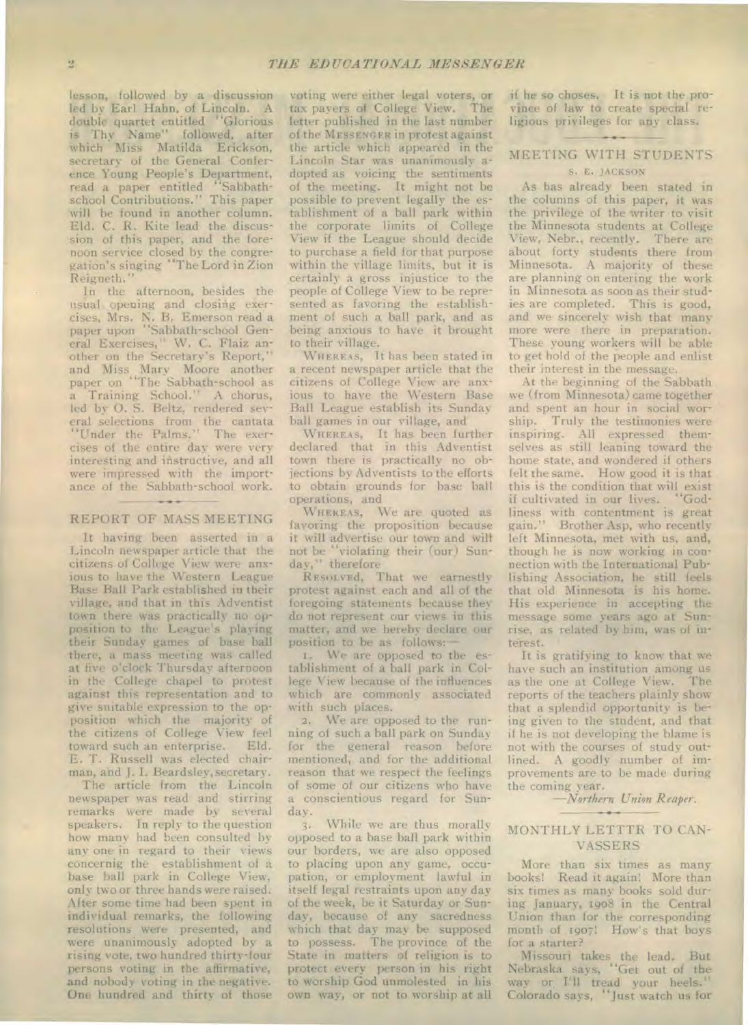lesson, followed by a discussion led by Earl Hahn, of Lincoln. A double quartet entitled "Glorious is Thy Name" followed, after which Miss Matilda Erickson, secretary of the General Conference Young People's Department, read a paper entitled "Sabbathschool Contributions." This paper will be found in another column. Eld. C. R. Kite lead the discussion of this paper, and the forenoon service closed by the congregation's singing "The Lord in Zion Reigneth."

In the afternoon, besides the usual opening and closing exercises, Mrs. N. B. Emerson read a paper upon "Sabbath-school General Exercises," W. C. Flaiz another on the Secretary's Report," and Miss Mary Moore another paper on "The Sabbath-school as a Training School." A chorus, led by 0. S. Beltz, rendered several selections from the cantata "Under the Palms." The exercises of the entire day were very interesting and instructive, and all were impressed with the importance of the Sabbath-school work.

### REPORT OF MASS MEETING

It having been asserted in a Lincoln newspaper article that the citizens of College View were anxious to have the Western League Base Ball Park established in their village, and that in this Adventist town there was practically no opposition to the League's playing their Sunday games of base ball there, a mass meeting was called at five o'clock Thursday afternoon in the College chapel to protest against this representation and to give suitable expression to the opposition which the majority of the citizens of College View feel<br>toward such an enterprise. Eld. toward such an enterprise. E. T. Russell was elected chairman, and J. I. Beardsley,secretary.

The article from the Lincoln newspaper was read and stirring remarks were made by several speakers. In reply to the question how many had been consulted by any one in regard to their views concernig the establishment of a base ball park in College View, only two or three hands were raised. After some time had been spent in individual remarks, the following resolutions were presented, and were unanimously adopted by a rising vote, two hundred thirty-four persons voting in the affirmative, and nobody voting in the negative. One hundred and thirty of those voting were either legal voters, or tax payers of College View. The letter published in the last number of the MESSENGER in protest against the article which appeared in the Lincoln Star was unanimously adopted as voicing the sentiments of the meeting. It might not be possible to prevent legally the establishment of a ball park within the corporate limits of College View if the League should decide to purchase a field for that purpose within the village limits, but it is certainly a gross injustice to the people of College View to be represented as favoring the establishment of such a ball park, and as being anxious to have it brought to their village.

WHEREAS, It has been stated in a recent newspaper article that the citizens of College View are anxious to have the Western Base Ball League establish its Sunday ball games in our village, and

WHEREAS, It has been further declared that in this Adventist town there is practically no objections by Adventists to the efforts to obtain grounds for base ball operations, and

WHEREAS, We are quoted as favoring the proposition because it will advertise our town and wilt not be "violating their (our) Sunday," therefore

REsoLvEd, That we earnestly protest against each and all of the foregoing statements because they do not represent our views in this matter, and we hereby declare our position to be as follows:

i. We are opposed to the establishment of a ball park in College View because of the influences which are commonly associated with such places.

2. We are opposed to the running of such a ball park on Sunday for the general reason before mentioned, and for the additional reason that we respect the feelings of some of our citizens who have a conscientious regard for Sunday.

3. While we are thus morally opposed to a base ball park within our borders, we are also opposed to placing upon any game, occupation, or employment lawful in itself legal restraints upon any day of the week, be it Saturday or Sunday, because of any sacredness which that day may be supposed to possess. The province of the State in matters of religion is to protect every person in his right to worship God unmolested in his own way, or not to worship at all if he so choses. It is not the province of law to create special religious privileges for any class.

# MEETING WITH STUDENTS

### S. E. JACKSON

As has already been stated in the columns of this paper, it was the privilege of the writer to visit the Minnesota students at College View, Nebr., recently. There are about forty students there from Minnesota. A majority of these are planning on entering the work in Minnesota as soon as their studies are completed. This is good, and we sincerely wish that many more were there in preparation. These young workers will be able to get hold of the people and enlist their interest in the message.

At the beginning of the Sabbath we (from Minnesota) came together and spent an hour in social worship. Truly the testimonies were inspiring. All expressed themselves as still leaning toward the home state, and wondered if others felt the same. How good it is that this is the condition that will exist if cultivated in our lives. "Godliness with contentment is great gain." Brother Asp, who recently left Minnesota, met with us, and, though he is now working in connection with the International Publishing Association, he still feels that old Minnesota is his home. His experience in accepting the message some years ago at Sunrise, as related by him, was of interest.

It is gratifying to know that we have such an institution among us as the one at College View. The reports of the teachers plainly show that a splendid opportunity is being given to the student, and that if he is not developing the blame is not with the courses of study outlined. A goodly number of improvements are to he made during the coming year.

*—Northern Union Reaper.* 

## MONTHLY LETTTR TO CAN-VASSERS

More than six times as many books! Read it again! More than six times as many books sold during January, 1908 in the Central Union than for the corresponding month of 1907! How's that boys for a starter?

Missouri takes the lead. But Nebraska says, "Get out of the way or I'll tread your heels." Colorado says, "Just watch us for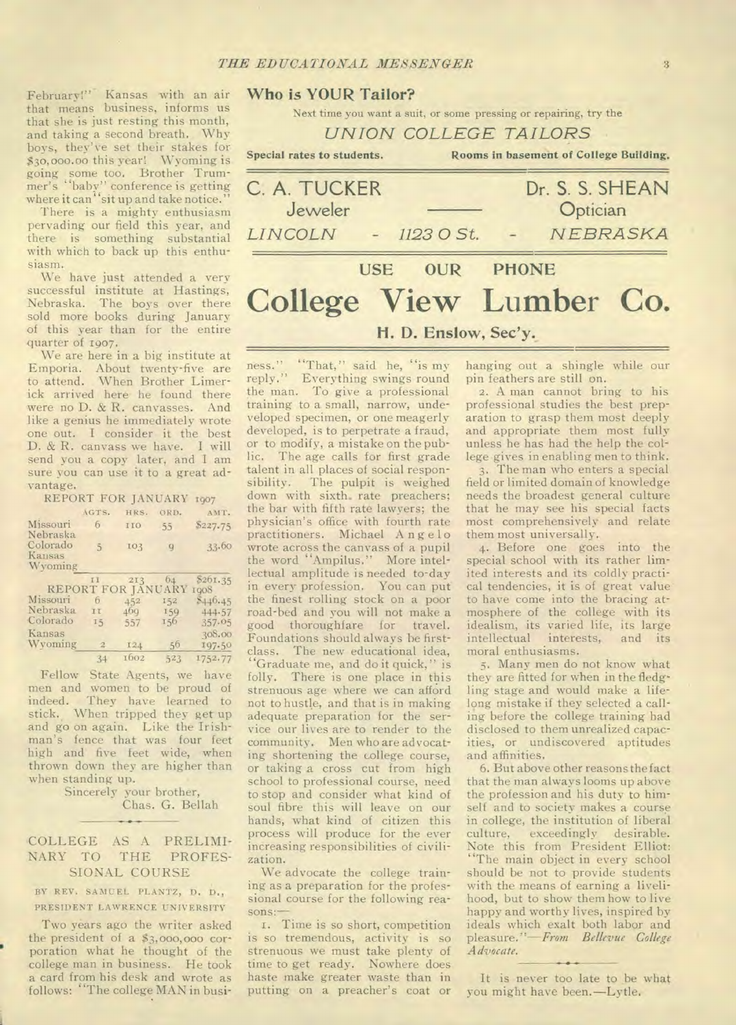February!" Kansas with an air that means business, informs us that she is just resting this month, and taking a second breath. Why boys, they've set their stakes for

\$30,000.00 this year! Wyoming is going some too. Brother Trummer's "baby" conference is getting where it can "sit up and take notice." There is a mighty enthusiasm

pervading our field this year, and there is something substantial with which to back up this enthusiasm.

We have just attended a very successful institute at Hastings, Nebraska. The boys over there sold more books during January of this year than for the entire quarter of 1907.

We are here in a big institute at Emporia. About twenty-five are to attend. When Brother Limerick arrived here he found there were no D. & R. canvasses. And like a genius he immediately wrote one out. I consider it the best D. & R. canvass we have. I will send you a copy later, and I am sure you can use it to a great advantage.

REPORT FOR JANUARY 1907

|                      | AGTS. | HRS.       | ORD. | AMT.     |
|----------------------|-------|------------|------|----------|
| Missouri<br>Nebraska | h     | <b>IIO</b> | 55   | \$227.75 |
| Colorado<br>Kansas   | 5     | 103        | Q    | 33.60    |
| Wyoming              |       |            |      |          |

| <i>Wyoming</i> |                |                    |     |          |
|----------------|----------------|--------------------|-----|----------|
|                | LI             | 213                | 64  | \$261.35 |
|                |                | REPORT FOR JANUARY |     | 1908     |
| Missouri       | 6              | 452                | 152 | 5440.45  |
| Nebraska       | II             | 400                | 159 | 444.57   |
| Colorado       | 15             | 557                | 150 | 357.05   |
| Kansas         |                |                    |     | 308.00   |
| Wyoming        | $\overline{2}$ | I24                | 56  | 197.50   |
|                | 34             | 1602               | 523 | 1752.77  |

Fellow State Agents, we have men and women to be proud of indeed. They have learned to stick. When tripped they get up and go on again. Like the Irishman's fence that was four feet high and five feet wide, when thrown down they are higher than when standing up.

Sincerely your brother, Chas. G. Bellah

# COLLEGE AS A PRELIMI-NARY TO THE PROFES-SIONAL COURSE

BY REV. SAMUEL PLANTZ, D. D., PRESIDENT LAWRENCE UNIVERSITY

Two years ago the writer asked the president of a \$3,000,000 corporation what he thought of the college man in business. He took a card from his desk and wrote as follows: 'The college MAN in busi-

# **Who is YOUR Tailor?**

Next time you want a suit, or some pressing or repairing, try the

# *UNION COLLEGE TAILORS*

**Special rates to students. Rooms in basement of College Building.** 

C. A. TUCKER Dr. S. S. SHEAN Jeweler **Optician** *LINCOLN - 1123 0 St. NEBRASKA*  USE OUR PHONE College View Lumber Co.

H. D. Enslow, Sec'y.

ness." "That," said he, "is my reply." Everything swings round the man. To give a professional training to a small, narrow, undeveloped specimen, or one meagerly developed, is to perpetrate a fraud, or to modify, a mistake on the public. The age calls for first grade talent in all places of social responsibility. The pulpit is weighed down with sixth. rate preachers; the bar with fifth rate lawyers; the physician's office with fourth rate practitioners. Michael Angelo wrote across the canvass of a pupil the word "Ampilus." More intellectual amplitude is needed to-day in every profession. You can put the finest rolling stock on a poor road-bed and you will not make a good thoroughfare for travel. Foundations should always he firstclass. The new educational idea, "Graduate me, and do it quick," is folly. There is one place in this strenuous age where we can afford not to hustle, and that is in making adequate preparation for the service our lives are to render to the community. Men who are advocating shortening the college course, or taking a cross cut from high school to professional course, need to stop and consider what kind of soul fibre this will leave on our hands, what kind of citizen this process will produce for the ever increasing responsibilities of civilization.

We advocate the college training as a preparation for the professional course for the following reasons:

I. Time is so short, competition is so tremendous, activity is so strenuous we must take plenty of time to get ready. Nowhere does haste make greater waste than in putting on a preacher's coat or

hanging out a shingle while our pin feathers are still on.

2. A man cannot bring to his professional studies the best preparation to grasp them most deeply and appropriate them most fully unless he has had the help the college gives in enabling men to think.

3. The man who enters a special field or limited domain of knowledge needs the broadest general culture that he may see his special facts most comprehensively and relate them most universally.

4. Before one goes into the special school with its rather limited interests and its coldly practical tendencies, it is of great value to have come into the bracing atmosphere of the college with its idealism, its varied life, its large intellectual interests, and its moral enthusiasms.

5. Many men do not know what they are fitted for when in the fledgling stage and would make a lifelong mistake if they selected a calling before the college training had disclosed to them unrealized capacities, or undiscovered aptitudes and affinities.

6. But above other reasons the fact that the man always looms up above the profession and his duty to himself and to society makes a course in college, the institution of liberal culture, exceedingly desirable. Note this from President Elliot: "The main object in every school should be not to provide students with the means of earning a livelihood, but to show them how to live happy and worthy lives, inspired by ideals which exalt both labor and pleasure."—From *Bellevue College Advocate.* 

It is never too late to be what you might have been.—Lytle.